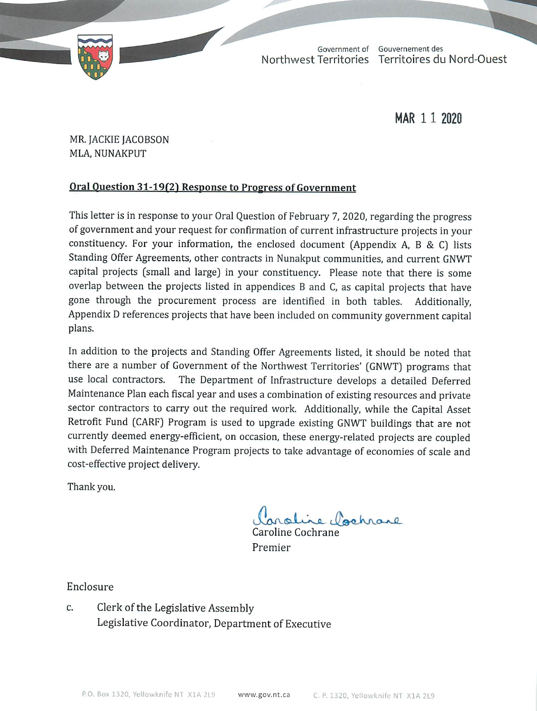

TD 57-19(2) TABLED ON MARCH 11, 2020Government of Gouvernement des Northwest Territories Territoires du Nord-Ouest

MAR 1 1 2020

MR. JACKIE JACOBSON MLA, NUNAKPUT

# Oral Question 31-19(2) Response to Progress of Government

This letter is in response to your Oral Question of February 7, 2020, regarding the progress of government and your request for confirmation of current infrastructure projects in your constituency. For your information, the enclosed document (Appendix A, B & C) lists Standing Offer Agreements, other contracts in Nunakput communities, and current GNWT capital projects (small and large) in your constituency. Please note that there is some overlap between the projects listed in appendices B and C, as capital projects that have gone through the procurement process are identified in both tables. Additionally, Appendix D references projects that have been included on community government capital plans.

In addition to the projects and Standing Offer Agreements listed, it should be noted that there are a number of Government of the Northwest Territories' (GNWT) programs that use local contractors. The Department of Infrastructure develops a detailed Deferred Maintenance Plan each fiscal year and uses a combination of existing resources and private sector contractors to carry out the required work. Additionally, while the Capital Asset Retrofit Fund (CARF) Program is used to upgrade existing GNWT buildings that are not currently deemed energy-efficient, on occasion, these energy-related projects are coupled with Deferred Maintenance Program projects to take advantage of economies of scale and cost-effective project delivery.

Thank you.

ochrane

Caroline Cochrane Premier

Enclosure

C. Clerk of the Legislative Assembly Legislative Coordinator, Department of Executive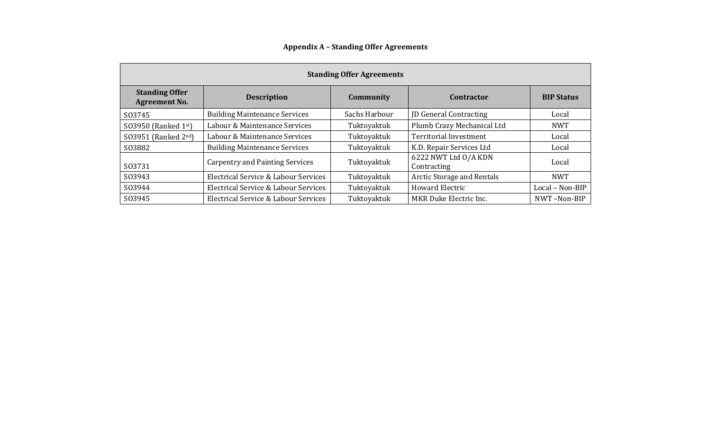| <b>Standing Offer Agreements</b>              |                                        |               |                                     |                   |  |  |
|-----------------------------------------------|----------------------------------------|---------------|-------------------------------------|-------------------|--|--|
| <b>Standing Offer</b><br><b>Agreement No.</b> | <b>Description</b>                     | Community     | <b>Contractor</b>                   | <b>BIP Status</b> |  |  |
| S03745                                        | <b>Building Maintenance Services</b>   | Sachs Harbour | <b>JD</b> General Contracting       | Local             |  |  |
| S03950 (Ranked 1st)                           | Labour & Maintenance Services          | Tuktoyaktuk   | Plumb Crazy Mechanical Ltd          | <b>NWT</b>        |  |  |
| SO3951 (Ranked 2nd)                           | Labour & Maintenance Services          | Tuktoyaktuk   | <b>Territorial Investment</b>       | Local             |  |  |
| S03882                                        | <b>Building Maintenance Services</b>   | Tuktoyaktuk   | K.D. Repair Services Ltd            | Local             |  |  |
| S03731                                        | <b>Carpentry and Painting Services</b> | Tuktoyaktuk   | 6222 NWT Ltd O/A KDN<br>Contracting | Local             |  |  |
| S03943                                        | Electrical Service & Labour Services   | Tuktoyaktuk   | Arctic Storage and Rentals          | <b>NWT</b>        |  |  |
| S03944                                        | Electrical Service & Labour Services   | Tuktoyaktuk   | <b>Howard Electric</b>              | Local - Non-BIP   |  |  |
| S03945                                        | Electrical Service & Labour Services   | Tuktoyaktuk   | MKR Duke Electric Inc.              | NWT-Non-BIP       |  |  |

**Appendix A – Standing Offer Agreements**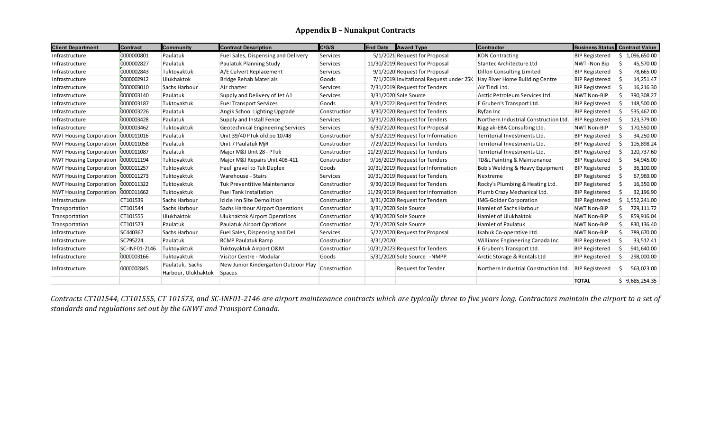## **Appendix B – Nunakput Contracts**

| <b>Client Department</b>       | Contract      | <b>Community</b>                       | <b>Contract Description</b>                           | <b>C/G/S</b> | <b>End Date</b> | <b>Award Type</b>                       | <b>Contractor</b>                          | Business Status   Contract Value |                |
|--------------------------------|---------------|----------------------------------------|-------------------------------------------------------|--------------|-----------------|-----------------------------------------|--------------------------------------------|----------------------------------|----------------|
| Infrastructure                 | 0000000801    | Paulatuk                               | Fuel Sales, Dispensing and Delivery                   | Services     |                 | 5/1/2021 Request for Proposal           | <b>KDN Contracting</b>                     | <b>BIP Registered</b>            | 1,096,650.00   |
| Infrastructure                 | 0000002827    | Paulatuk                               | Paulatuk Planning Study                               | Services     |                 | 11/30/2019 Request for Proposal         | <b>Stantec Architecture Ltd</b>            | NWT-Non Bip                      | 45,570.00      |
| Infrastructure                 | 0000002843    | Tuktovaktuk                            | A/E Culvert Replacement                               | Services     |                 | 9/1/2020 Request for Proposal           | <b>Dillon Consulting Limited</b>           | <b>BIP Registered</b>            | 78,665.00      |
| Infrastructure                 | 0000002912    | Ulukhaktok                             | Bridge Rehab Materials                                | Goods        |                 | 7/1/2019 Invitational Request under 25K | Hay River Home Building Centre             | <b>BIP Registered</b>            | 14,251.47      |
| Infrastructure                 | 0000003010    | Sachs Harbour                          | Air charter                                           | Services     |                 | 7/31/2019 Request for Tenders           | Air Tindi Ltd.                             | <b>BIP Registered</b>            | 16,216.30      |
| Infrastructure                 | 0000003140    | Paulatuk                               | Supply and Delivery of Jet A1                         | Services     |                 | 3/31/2020 Sole Source                   | Arctic Petroleum Services Ltd.             | <b>NWT Non-BIP</b>               | 390,308.27     |
| Infrastructure                 | 0000003187    | Tuktoyaktuk                            | <b>Fuel Transport Services</b>                        | Goods        |                 | 8/31/2022 Request for Tenders           | E Gruben's Transport Ltd.                  | <b>BIP Registered</b>            | 148,500.00     |
| Infrastructure                 | 0000003226    | Paulatuk                               | Angik School Lighting Upgrade                         | Construction |                 | 3/30/2020 Request for Tenders           | Ryfan Inc                                  | <b>BIP Registered</b>            | 535,467.00     |
| Infrastructure                 | 0000003428    | Paulatuk                               | Supply and Install Fence                              | Services     |                 | 10/31/2020 Request for Tenders          | Northern Industrial Construction Ltd       | <b>BIP Registered</b>            | 123,379.00     |
| Infrastructure                 | 0000003462    | Tuktovaktuk                            | <b>Geotechnical Engineering Services</b>              | Services     |                 | 6/30/2020 Request for Proposal          | Kiggiak-EBA Consulting Ltd.                | <b>NWT Non-BIP</b>               | 170,550.00     |
| <b>NWT Housing Corporation</b> | 0000011016    | Paulatuk                               | Unit 39/40 PTuk old po 10748                          | Construction |                 | 6/30/2019 Request for Information       | Territorial Investments Ltd.               | <b>BIP Registered</b>            | 34,250.00      |
| <b>NWT Housing Corporation</b> | 0000011058    | Paulatuk                               | Unit 7 Paulatuk MiR                                   | Construction |                 | 7/29/2019 Request for Tenders           | Territorial Investments Ltd.               | <b>BIP Registered</b>            | 105,898.24     |
| <b>NWT Housing Corporation</b> | 0000011087    | Paulatuk                               | Major M&I Unit 28 - PTuk                              | Construction |                 | 11/29/2019 Request for Tenders          | Territorial Investments Ltd.               | <b>BIP Registered</b>            | 120,737.60     |
| <b>NWT Housing Corporation</b> | 0000011194    | Tuktoyaktuk                            | Major M&I Repairs Unit 408-411                        | Construction |                 | 9/16/2019 Request for Tenders           | <b>TD&amp;L Painting &amp; Maintenance</b> | <b>BIP Registered</b>            | 54,945.00      |
| <b>NWT Housing Corporation</b> | 0000011257    | Tuktovaktuk                            | Haul gravel to Tuk Duplex                             | Goods        |                 | 10/31/2019 Request for Information      | Bob's Welding & Heavy Equipment            | <b>BIP Registered</b>            | 36,100.00      |
| <b>NWT Housing Corporation</b> | 0000011273    | Tuktovaktuk                            | Warehouse - Stairs                                    | Services     |                 | 10/31/2019 Request for Tenders          | Nextreme                                   | <b>BIP Registered</b>            | 67,969.00      |
| <b>NWT Housing Corporation</b> | 0000011322    | Tuktoyaktuk                            | Tuk Preventitive Maintenance                          | Construction |                 | 9/30/2019 Request for Tenders           | Rocky's Plumbing & Heating Ltd.            | <b>BIP Registered</b>            | 16,350.00      |
| <b>NWT Housing Corporation</b> | 0000011662    | Tuktoyaktuk                            | <b>Fuel Tank Installation</b>                         | Construction |                 | 11/29/2019 Request for Information      | Plumb Crazy Mechanical Ltd.                | <b>BIP Registered</b>            | 32,196.90      |
| Infrastructure                 | CT101539      | Sachs Harbour                          | Icicle Inn Site Demolition                            | Construction |                 | 3/31/2020 Request for Tenders           | <b>IMG-Golder Corporation</b>              | <b>BIP Registered</b>            | \$1,552,241.00 |
| Transportation                 | CT101544      | Sachs Harbour                          | <b>Sachs Harbour Airport Operations</b>               | Construction |                 | 3/31/2020 Sole Source                   | <b>Hamlet of Sachs Harbour</b>             | <b>NWT Non-BIP</b>               | 729,111.72     |
| Transportation                 | CT101555      | Ulukhaktok                             | <b>Ulukhaktok Airport Operations</b>                  | Construction |                 | 4/30/2020 Sole Source                   | <b>Hamlet of Ulukhaktok</b>                | <b>NWT Non-BIP</b>               | 859,916.04     |
| Transportation                 | CT101573      | Paulatuk                               | Paulatuk Airport Oprations                            | Construction |                 | 7/31/2020 Sole Source                   | <b>Hamlet of Paulatuk</b>                  | NWT Non-BIP                      | 830,136.40     |
| Infrastructure                 | SC440367      | Sachs Harbour                          | Fuel Sales, Dispensing and Del                        | Services     |                 | 5/22/2020 Request for Proposal          | Ikahuk Co-operative Ltd.                   | NWT Non-BIP                      | 789,670.00     |
| Infrastructure                 | SC795224      | Paulatuk                               | <b>RCMP Paulatuk Ramp</b>                             | Construction | 3/31/2020       |                                         | Williams Engineering Canada Inc.           | <b>BIP Registered</b>            | 33,512.41      |
| Infrastructure                 | SC-INF01-2146 | Tuktoyaktuk                            | Tuktoyaktuk Airport O&M                               | Construction |                 | 10/31/2023 Request for Tenders          | E Gruben's Transport Ltd.                  | <b>BIP Registered</b>            | 941,640.00     |
| Infrastructure                 | 0000003166    | Tuktoyaktuk                            | Visitor Centre - Modular                              | Goods        |                 | 5/31/2020 Sole Source -NMPP             | Arctic Storage & Rentals Ltd               | <b>BIP Registered</b>            | 298,000.00     |
| Infrastructure                 | 0000002845    | Paulatuk, Sachs<br>Harbour, Ulukhaktok | New Junior Kindergarten Outdoor Play<br><b>Spaces</b> | Construction |                 | <b>Request for Tender</b>               | Northern Industrial Construction Ltd.      | <b>BIP Registered</b>            | 563,023.00     |
|                                |               |                                        |                                                       |              |                 |                                         |                                            | <b>TOTAL</b>                     | \$9,685,254.35 |

*Contracts CT101544, CT101555, CT 101573, and SC-INF01-2146 are airport maintenance contracts which are typically three to five years long. Contractors maintain the airport to a set of standards and regulations set out by the GNWT and Transport Canada.*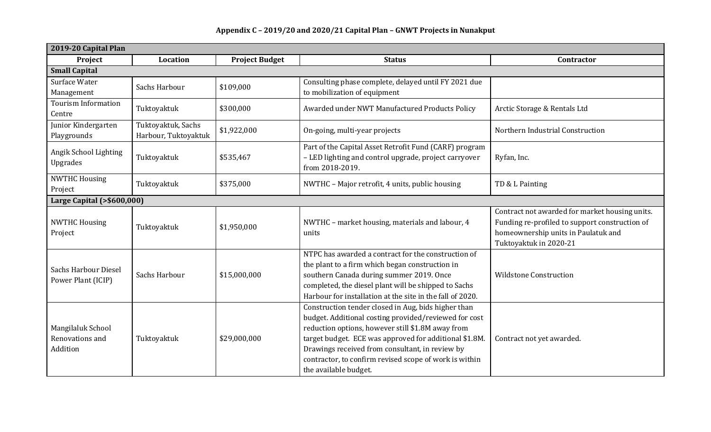#### **2019-20 Capital Plan Project Location Project Budget Status Contractor Small Capital** Surface Water Surface Water Sachs Harbour \$109,000 Consulting phase complete, delayed until FY 2021 due<br>Management Sachs Harbour \$109,000 to mobilization of equipment to mobilization of equipment Tourism Information Tuktoyaktuk \$300,000 Awarded under NWT Manufactured Products Policy Arctic Storage & Rentals Ltd Centre Junior Kindergarten Playgrounds Tuktoyaktuk, Sachs Harbour, Tuktoyaktuk <mark>\$1,922,000 (On-going, multi-year projects</mark> Northern Industrial Construction Angik School Lighting Upgrades Tuktoyaktuk \$535,467 Part of the Capital Asset Retrofit Fund (CARF) program – LED lighting and control upgrade, project carryover from 2018-2019. Ryfan, Inc. NWTHC Housing Project Tuktoyaktuk \$375,000 NWTHC – Major retrofit, 4 units, public housing TD & L Painting **Large Capital (>\$600,000)** NWTHC Housing NWTHC Housing<br>Project Tuktoyaktuk \$1,950,000 NWTHC – market housing, materials and labour, 4 units Contract not awarded for market housing units. Funding re-profiled to support construction of homeownership units in Paulatuk and Tuktoyaktuk in 2020-21 Sachs Harbour Diesel Power Plant (ICIP) Sachs Harbour \$15,000,000 NTPC has awarded a contract for the construction of the plant to a firm which began construction in southern Canada during summer 2019. Once completed, the diesel plant will be shipped to Sachs Harbour for installation at the site in the fall of 2020. Wildstone Construction Mangilaluk School Renovations and Addition Tuktoyaktuk \$29,000,000 Construction tender closed in Aug, bids higher than budget. Additional costing provided/reviewed for cost reduction options, however still \$1.8M away from target budget. ECE was approved for additional \$1.8M. Drawings received from consultant, in review by contractor, to confirm revised scope of work is within the available budget. Contract not yet awarded.

### **Appendix C – 2019/20 and 2020/21 Capital Plan – GNWT Projects in Nunakput**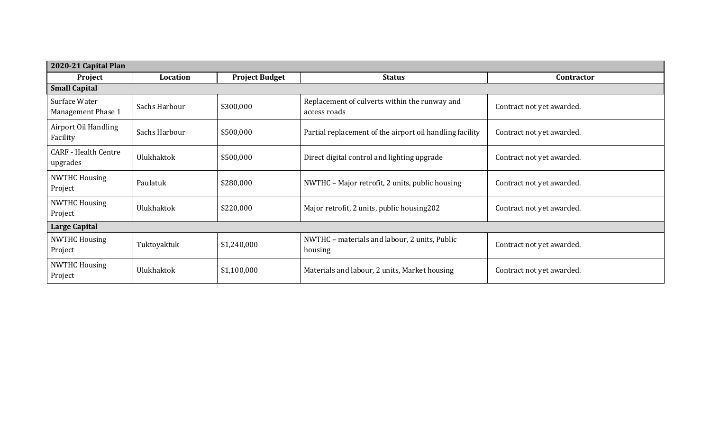| 2020-21 Capital Plan                    |               |                       |                                                               |                           |  |
|-----------------------------------------|---------------|-----------------------|---------------------------------------------------------------|---------------------------|--|
| Project                                 | Location      | <b>Project Budget</b> | <b>Status</b>                                                 | Contractor                |  |
| <b>Small Capital</b>                    |               |                       |                                                               |                           |  |
| Surface Water<br>Management Phase 1     | Sachs Harbour | \$300,000             | Replacement of culverts within the runway and<br>access roads | Contract not yet awarded. |  |
| Airport Oil Handling<br>Facility        | Sachs Harbour | \$500,000             | Partial replacement of the airport oil handling facility      | Contract not yet awarded. |  |
| <b>CARF</b> - Health Centre<br>upgrades | Ulukhaktok    | \$500,000             | Direct digital control and lighting upgrade                   | Contract not yet awarded. |  |
| <b>NWTHC Housing</b><br>Project         | Paulatuk      | \$280,000             | NWTHC - Major retrofit, 2 units, public housing               | Contract not yet awarded. |  |
| <b>NWTHC Housing</b><br>Project         | Ulukhaktok    | \$220,000             | Major retrofit, 2 units, public housing202                    | Contract not yet awarded. |  |
| <b>Large Capital</b>                    |               |                       |                                                               |                           |  |
| <b>NWTHC Housing</b><br>Project         | Tuktoyaktuk   | \$1,240,000           | NWTHC - materials and labour, 2 units, Public<br>housing      | Contract not yet awarded. |  |
| <b>NWTHC Housing</b><br>Project         | Ulukhaktok    | \$1,100,000           | Materials and labour, 2 units, Market housing                 | Contract not yet awarded. |  |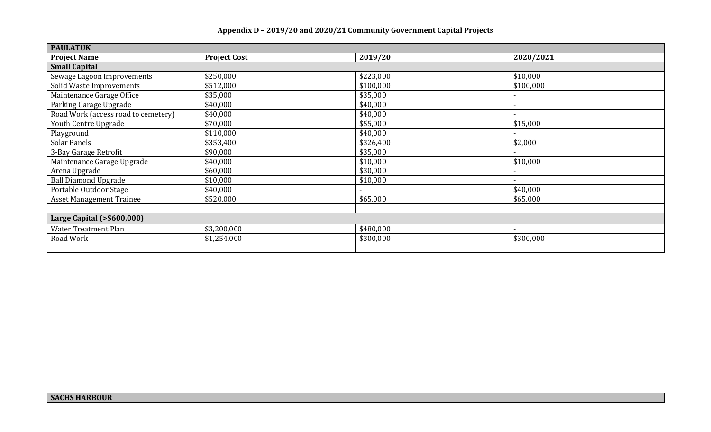| <b>PAULATUK</b>                     |                     |           |                          |  |  |
|-------------------------------------|---------------------|-----------|--------------------------|--|--|
| <b>Project Name</b>                 | <b>Project Cost</b> | 2019/20   | 2020/2021                |  |  |
| <b>Small Capital</b>                |                     |           |                          |  |  |
| Sewage Lagoon Improvements          | \$250,000           | \$223,000 | \$10,000                 |  |  |
| Solid Waste Improvements            | \$512,000           | \$100,000 | \$100,000                |  |  |
| Maintenance Garage Office           | \$35,000            | \$35,000  |                          |  |  |
| Parking Garage Upgrade              | \$40,000            | \$40,000  |                          |  |  |
| Road Work (access road to cemetery) | \$40,000            | \$40,000  |                          |  |  |
| Youth Centre Upgrade                | \$70,000            | \$55,000  | \$15,000                 |  |  |
| Playground                          | \$110,000           | \$40,000  |                          |  |  |
| Solar Panels                        | \$353,400           | \$326,400 | \$2,000                  |  |  |
| 3-Bay Garage Retrofit               | \$90,000            | \$35,000  |                          |  |  |
| Maintenance Garage Upgrade          | \$40,000            | \$10,000  | \$10,000                 |  |  |
| Arena Upgrade                       | \$60,000            | \$30,000  |                          |  |  |
| <b>Ball Diamond Upgrade</b>         | \$10,000            | \$10,000  |                          |  |  |
| Portable Outdoor Stage              | \$40,000            |           | \$40,000                 |  |  |
| <b>Asset Management Trainee</b>     | \$520,000           | \$65,000  | \$65,000                 |  |  |
|                                     |                     |           |                          |  |  |
| Large Capital (>\$600,000)          |                     |           |                          |  |  |
| Water Treatment Plan                | \$3,200,000         | \$480,000 | $\overline{\phantom{0}}$ |  |  |
| Road Work                           | \$1,254,000         | \$300,000 | \$300,000                |  |  |
|                                     |                     |           |                          |  |  |

# **Appendix D – 2019/20 and 2020/21 Community Government Capital Projects**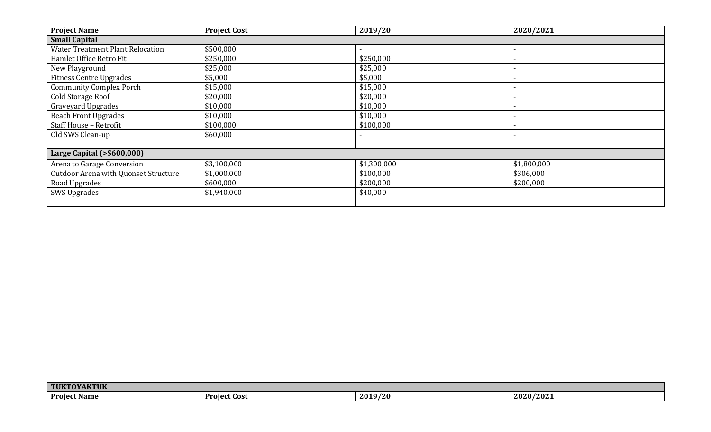| <b>Project Name</b>                     | <b>Project Cost</b> | 2019/20     | 2020/2021   |  |  |
|-----------------------------------------|---------------------|-------------|-------------|--|--|
| <b>Small Capital</b>                    |                     |             |             |  |  |
| <b>Water Treatment Plant Relocation</b> | \$500,000           |             |             |  |  |
| Hamlet Office Retro Fit                 | \$250,000           | \$250,000   |             |  |  |
| New Playground                          | \$25,000            | \$25,000    |             |  |  |
| <b>Fitness Centre Upgrades</b>          | \$5,000             | \$5,000     |             |  |  |
| <b>Community Complex Porch</b>          | \$15,000            | \$15,000    |             |  |  |
| Cold Storage Roof                       | \$20,000            | \$20,000    |             |  |  |
| Graveyard Upgrades                      | \$10,000            | \$10,000    |             |  |  |
| <b>Beach Front Upgrades</b>             | \$10,000            | \$10,000    |             |  |  |
| Staff House - Retrofit                  | \$100,000           | \$100,000   |             |  |  |
| Old SWS Clean-up                        | \$60,000            |             |             |  |  |
|                                         |                     |             |             |  |  |
| Large Capital (>\$600,000)              |                     |             |             |  |  |
| Arena to Garage Conversion              | \$3,100,000         | \$1,300,000 | \$1,800,000 |  |  |
| Outdoor Arena with Quonset Structure    | \$1,000,000         | \$100,000   | \$306,000   |  |  |
| Road Upgrades                           | \$600,000           | \$200,000   | \$200,000   |  |  |
| <b>SWS Upgrades</b>                     | \$1,940,000         | \$40,000    |             |  |  |
|                                         |                     |             |             |  |  |

| <b>TUKT</b><br><b>OVAITHIV</b><br>$\blacksquare$<br>AN |                |         |                |
|--------------------------------------------------------|----------------|---------|----------------|
| <b>Project</b><br>t Name                               | - Project Cost | 2019/20 | /2021<br>2020/ |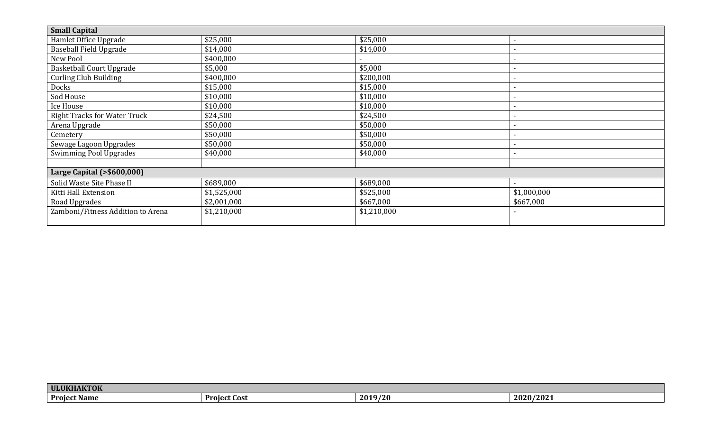| <b>Small Capital</b>                |             |             |             |  |
|-------------------------------------|-------------|-------------|-------------|--|
| Hamlet Office Upgrade               | \$25,000    | \$25,000    |             |  |
| <b>Baseball Field Upgrade</b>       | \$14,000    | \$14,000    |             |  |
| New Pool                            | \$400,000   |             |             |  |
| <b>Basketball Court Upgrade</b>     | \$5,000     | \$5,000     |             |  |
| Curling Club Building               | \$400,000   | \$200,000   |             |  |
| Docks                               | \$15,000    | \$15,000    |             |  |
| Sod House                           | \$10,000    | \$10,000    |             |  |
| Ice House                           | \$10,000    | \$10,000    |             |  |
| <b>Right Tracks for Water Truck</b> | \$24,500    | \$24,500    |             |  |
| Arena Upgrade                       | \$50,000    | \$50,000    |             |  |
| Cemetery                            | \$50,000    | \$50,000    |             |  |
| Sewage Lagoon Upgrades              | \$50,000    | \$50,000    |             |  |
| <b>Swimming Pool Upgrades</b>       | \$40,000    | \$40,000    |             |  |
|                                     |             |             |             |  |
| Large Capital (>\$600,000)          |             |             |             |  |
| Solid Waste Site Phase II           | \$689,000   | \$689,000   |             |  |
| Kitti Hall Extension                | \$1,525,000 | \$525,000   | \$1,000,000 |  |
| Road Upgrades                       | \$2,001,000 | \$667,000   | \$667,000   |  |
| Zamboni/Fitness Addition to Arena   | \$1,210,000 | \$1,210,000 |             |  |
|                                     |             |             |             |  |

| A IZTAIZ<br><b>ULUKH</b>  |                     |              |               |
|---------------------------|---------------------|--------------|---------------|
| Project I<br>--<br>t Name | <b>Project Cost</b> | 3/20<br>2019 | /2021<br>2020 |